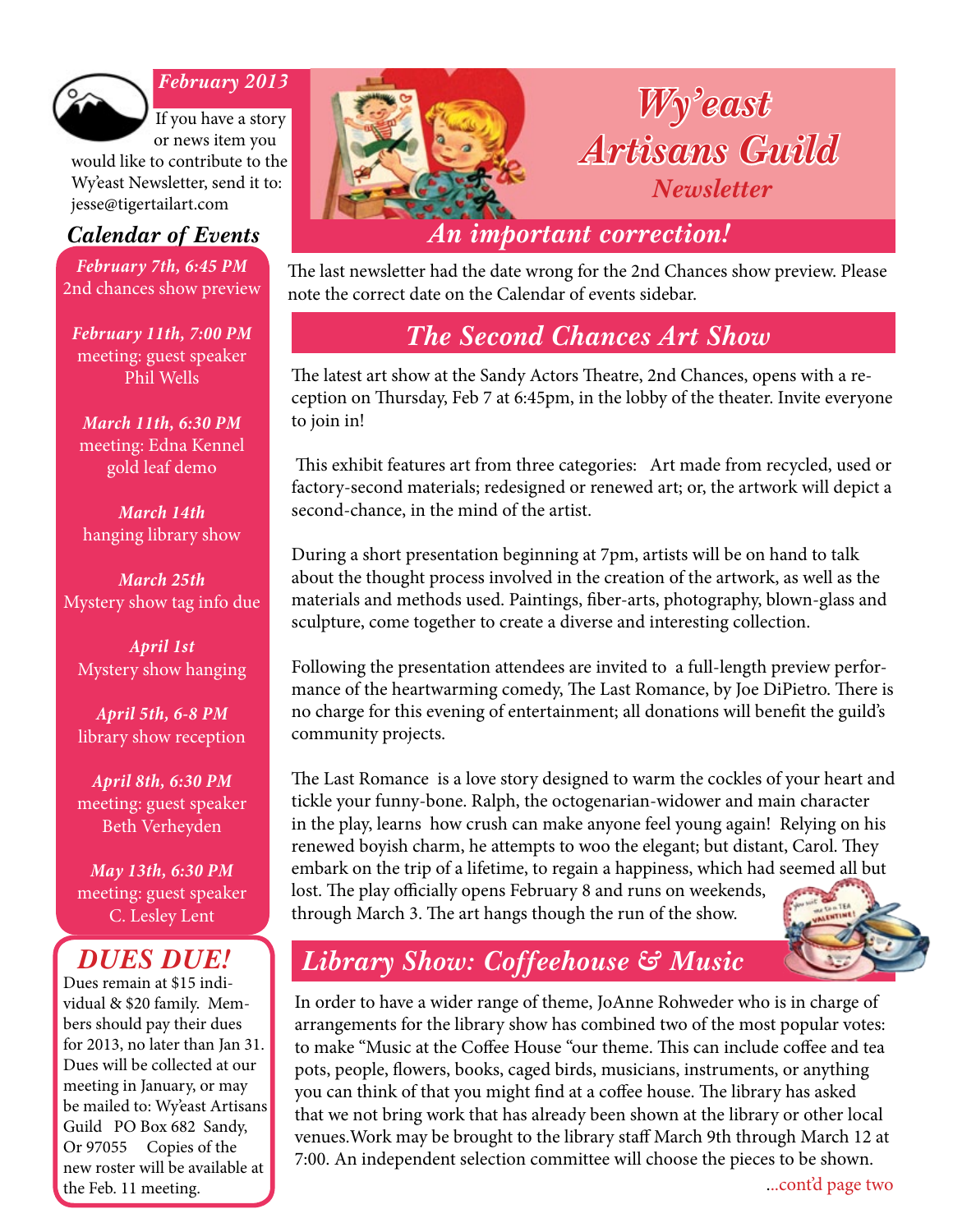

#### *February 2013*

If you have a story or news item you

would like to contribute to the Wy'east Newsletter, send it to: jesse@tigertailart.com

*February 7th, 6:45 PM* 2nd chances show preview

*February 11th, 7:00 PM* meeting: guest speaker Phil Wells

*March 11th, 6:30 PM* meeting: Edna Kennel gold leaf demo

*March 14th* hanging library show

*March 25th* Mystery show tag info due

*April 1st* Mystery show hanging

*April 5th, 6-8 PM* library show reception

*April 8th, 6:30 PM* meeting: guest speaker Beth Verheyden

*May 13th, 6:30 PM* meeting: guest speaker C. Lesley Lent

### *DUES DUE!*

Dues remain at \$15 individual & \$20 family. Members should pay their dues for 2013, no later than Jan 31. Dues will be collected at our meeting in January, or may be mailed to: Wy'east Artisans Guild PO Box 682 Sandy, Or 97055 Copies of the new roster will be available at the Feb. 11 meeting.



The last newsletter had the date wrong for the 2nd Chances show preview. Please note the correct date on the Calendar of events sidebar.

### *The Second Chances Art Show*

The latest art show at the Sandy Actors Theatre, 2nd Chances, opens with a reception on Thursday, Feb 7 at 6:45pm, in the lobby of the theater. Invite everyone to join in!

 This exhibit features art from three categories: Art made from recycled, used or factory-second materials; redesigned or renewed art; or, the artwork will depict a second-chance, in the mind of the artist.

During a short presentation beginning at 7pm, artists will be on hand to talk about the thought process involved in the creation of the artwork, as well as the materials and methods used. Paintings, fiber-arts, photography, blown-glass and sculpture, come together to create a diverse and interesting collection.

Following the presentation attendees are invited to a full-length preview performance of the heartwarming comedy, The Last Romance, by Joe DiPietro. There is no charge for this evening of entertainment; all donations will benefit the guild's community projects.

The Last Romance is a love story designed to warm the cockles of your heart and tickle your funny-bone. Ralph, the octogenarian-widower and main character in the play, learns how crush can make anyone feel young again! Relying on his renewed boyish charm, he attempts to woo the elegant; but distant, Carol. They embark on the trip of a lifetime, to regain a happiness, which had seemed all but lost. The play officially opens February 8 and runs on weekends, through March 3. The art hangs though the run of the show.



## *Library Show: Coffeehouse & Music*

In order to have a wider range of theme, JoAnne Rohweder who is in charge of arrangements for the library show has combined two of the most popular votes: to make "Music at the Coffee House "our theme. This can include coffee and tea pots, people, flowers, books, caged birds, musicians, instruments, or anything you can think of that you might find at a coffee house. The library has asked that we not bring work that has already been shown at the library or other local venues.Work may be brought to the library staff March 9th through March 12 at 7:00. An independent selection committee will choose the pieces to be shown.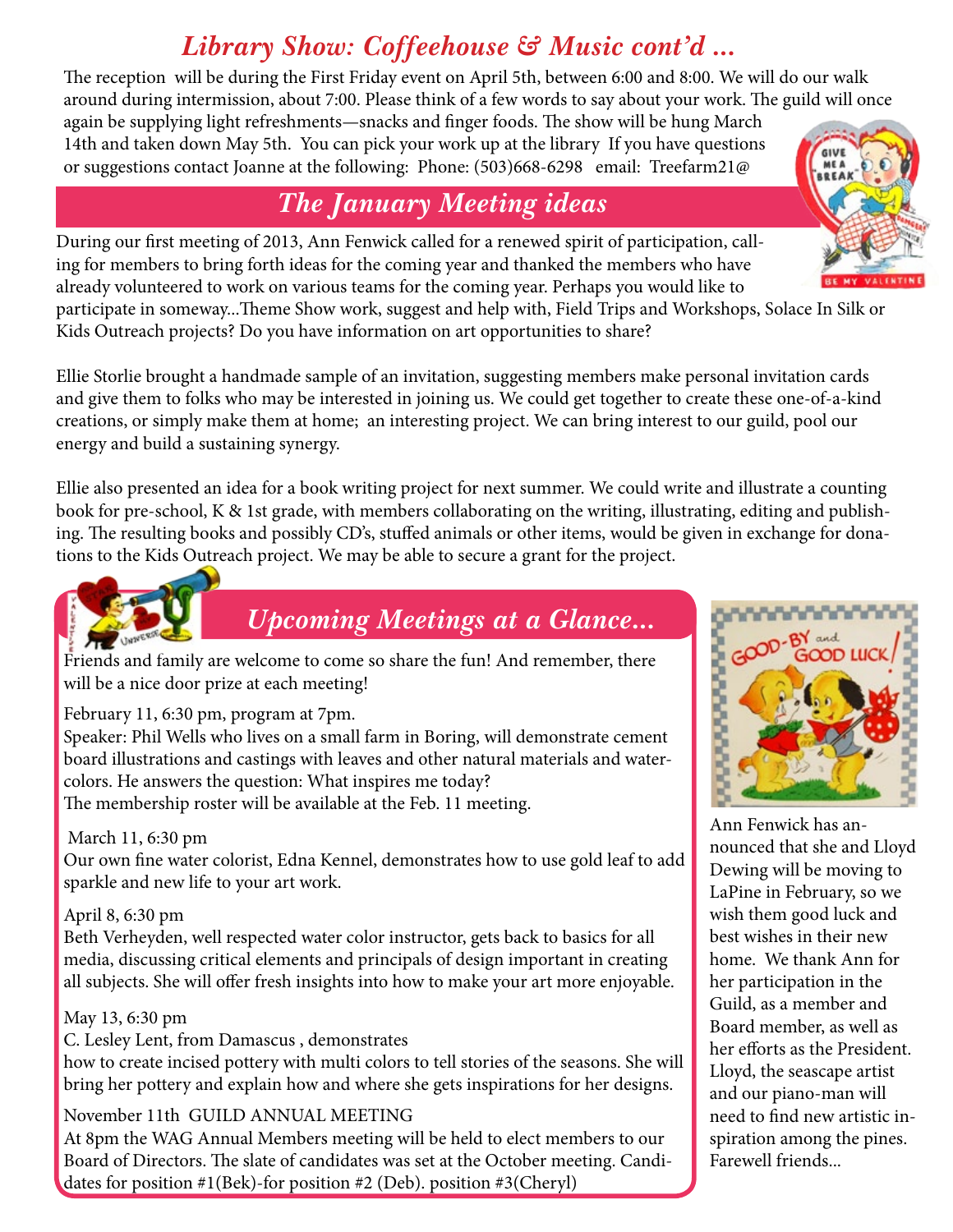# *Library Show: Coffeehouse & Music cont'd ...*

The reception will be during the First Friday event on April 5th, between 6:00 and 8:00. We will do our walk around during intermission, about 7:00. Please think of a few words to say about your work. The guild will once

again be supplying light refreshments—snacks and finger foods. The show will be hung March 14th and taken down May 5th. You can pick your work up at the library If you have questions or suggestions contact Joanne at the following: Phone: (503)668-6298 email: Treefarm21@

# *The January Meeting ideas*

During our first meeting of 2013, Ann Fenwick called for a renewed spirit of participation, calling for members to bring forth ideas for the coming year and thanked the members who have already volunteered to work on various teams for the coming year. Perhaps you would like to

participate in someway...Theme Show work, suggest and help with, Field Trips and Workshops, Solace In Silk or Kids Outreach projects? Do you have information on art opportunities to share?

Ellie Storlie brought a handmade sample of an invitation, suggesting members make personal invitation cards and give them to folks who may be interested in joining us. We could get together to create these one-of-a-kind creations, or simply make them at home; an interesting project. We can bring interest to our guild, pool our energy and build a sustaining synergy.

Ellie also presented an idea for a book writing project for next summer. We could write and illustrate a counting book for pre-school, K & 1st grade, with members collaborating on the writing, illustrating, editing and publishing. The resulting books and possibly CD's, stuffed animals or other items, would be given in exchange for donations to the Kids Outreach project. We may be able to secure a grant for the project.



# *Upcoming Meetings at a Glance...*

Friends and family are welcome to come so share the fun! And remember, there will be a nice door prize at each meeting!

February 11, 6:30 pm, program at 7pm.

Speaker: Phil Wells who lives on a small farm in Boring, will demonstrate cement board illustrations and castings with leaves and other natural materials and watercolors. He answers the question: What inspires me today? The membership roster will be available at the Feb. 11 meeting.

#### March 11, 6:30 pm

Our own fine water colorist, Edna Kennel, demonstrates how to use gold leaf to add sparkle and new life to your art work.

#### April 8, 6:30 pm

Beth Verheyden, well respected water color instructor, gets back to basics for all media, discussing critical elements and principals of design important in creating all subjects. She will offer fresh insights into how to make your art more enjoyable.

#### May 13, 6:30 pm

C. Lesley Lent, from Damascus , demonstrates

how to create incised pottery with multi colors to tell stories of the seasons. She will bring her pottery and explain how and where she gets inspirations for her designs.

#### November 11th GUILD ANNUAL MEETING

At 8pm the WAG Annual Members meeting will be held to elect members to our Board of Directors. The slate of candidates was set at the October meeting. Candidates for position #1(Bek)-for position #2 (Deb). position #3(Cheryl)



Ann Fenwick has announced that she and Lloyd Dewing will be moving to LaPine in February, so we wish them good luck and best wishes in their new home. We thank Ann for her participation in the Guild, as a member and Board member, as well as her efforts as the President. Lloyd, the seascape artist and our piano-man will need to find new artistic inspiration among the pines. Farewell friends...